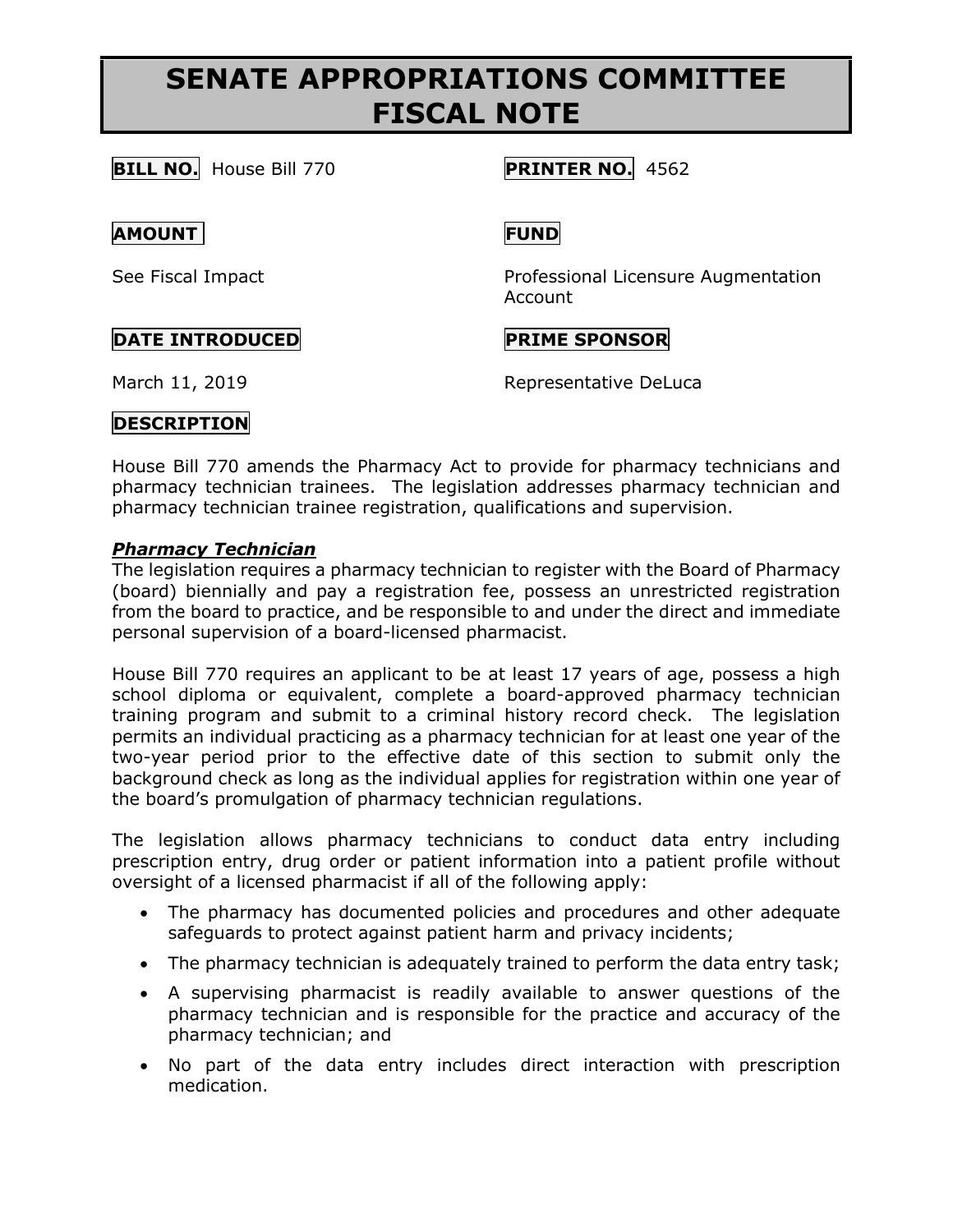# **SENATE APPROPRIATIONS COMMITTEE FISCAL NOTE**

**BILL NO.** House Bill 770 **PRINTER NO.** 4562

### **AMOUNT FUND**

See Fiscal Impact Professional Licensure Augmentation Account

### **DATE INTRODUCED PRIME SPONSOR**

March 11, 2019 **Representative DeLuca** 

# **DESCRIPTION**

House Bill 770 amends the Pharmacy Act to provide for pharmacy technicians and pharmacy technician trainees. The legislation addresses pharmacy technician and pharmacy technician trainee registration, qualifications and supervision.

#### *Pharmacy Technician*

The legislation requires a pharmacy technician to register with the Board of Pharmacy (board) biennially and pay a registration fee, possess an unrestricted registration from the board to practice, and be responsible to and under the direct and immediate personal supervision of a board-licensed pharmacist.

House Bill 770 requires an applicant to be at least 17 years of age, possess a high school diploma or equivalent, complete a board-approved pharmacy technician training program and submit to a criminal history record check. The legislation permits an individual practicing as a pharmacy technician for at least one year of the two-year period prior to the effective date of this section to submit only the background check as long as the individual applies for registration within one year of the board's promulgation of pharmacy technician regulations.

The legislation allows pharmacy technicians to conduct data entry including prescription entry, drug order or patient information into a patient profile without oversight of a licensed pharmacist if all of the following apply:

- The pharmacy has documented policies and procedures and other adequate safeguards to protect against patient harm and privacy incidents;
- The pharmacy technician is adequately trained to perform the data entry task;
- A supervising pharmacist is readily available to answer questions of the pharmacy technician and is responsible for the practice and accuracy of the pharmacy technician; and
- No part of the data entry includes direct interaction with prescription medication.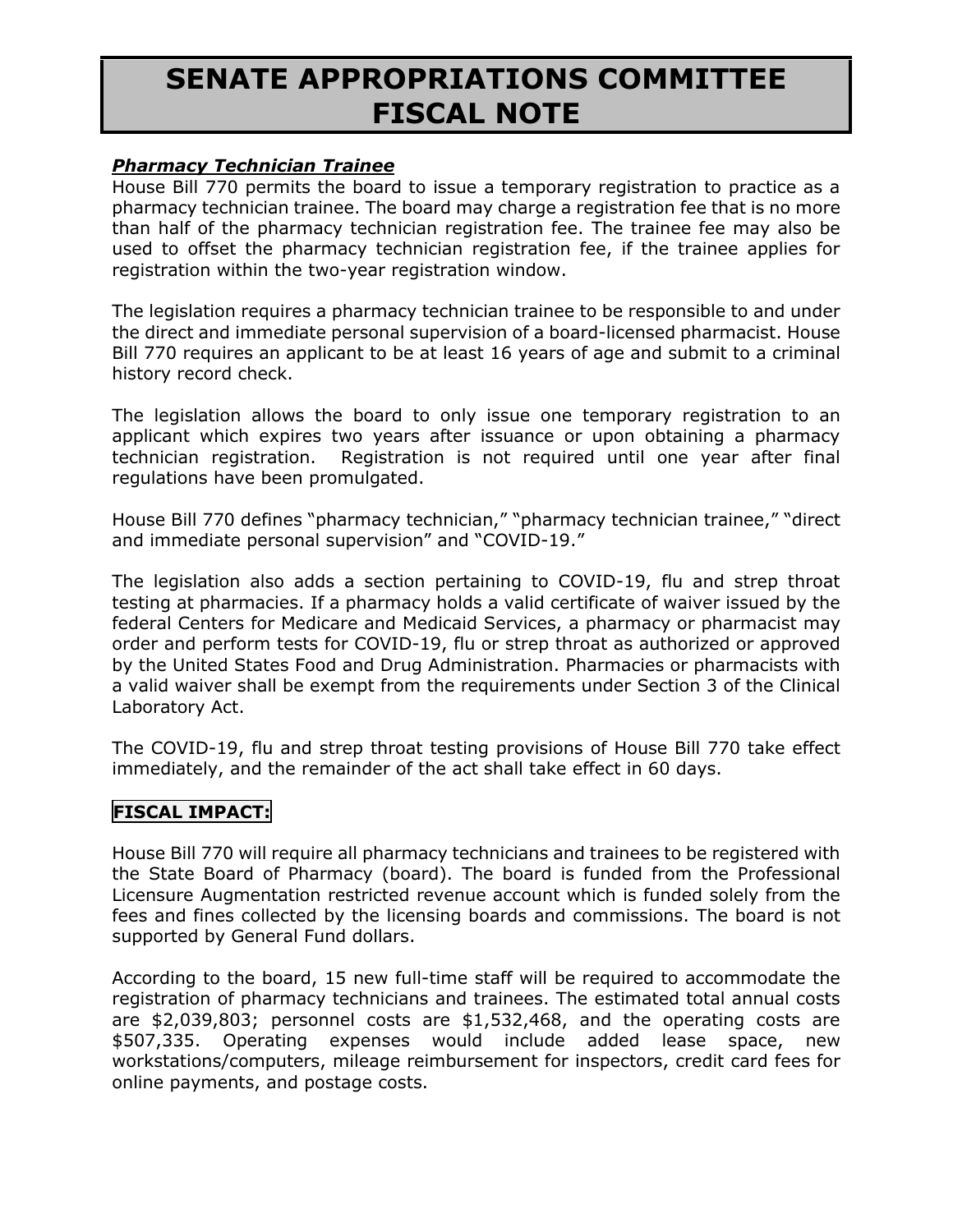### **SENATE APPROPRIATIONS COMMITTEE FISCAL NOTE**

#### *Pharmacy Technician Trainee*

House Bill 770 permits the board to issue a temporary registration to practice as a pharmacy technician trainee. The board may charge a registration fee that is no more than half of the pharmacy technician registration fee. The trainee fee may also be used to offset the pharmacy technician registration fee, if the trainee applies for registration within the two-year registration window.

The legislation requires a pharmacy technician trainee to be responsible to and under the direct and immediate personal supervision of a board-licensed pharmacist. House Bill 770 requires an applicant to be at least 16 years of age and submit to a criminal history record check.

The legislation allows the board to only issue one temporary registration to an applicant which expires two years after issuance or upon obtaining a pharmacy technician registration. Registration is not required until one year after final regulations have been promulgated.

House Bill 770 defines "pharmacy technician," "pharmacy technician trainee," "direct and immediate personal supervision" and "COVID-19."

The legislation also adds a section pertaining to COVID-19, flu and strep throat testing at pharmacies. If a pharmacy holds a valid certificate of waiver issued by the federal Centers for Medicare and Medicaid Services, a pharmacy or pharmacist may order and perform tests for COVID-19, flu or strep throat as authorized or approved by the United States Food and Drug Administration. Pharmacies or pharmacists with a valid waiver shall be exempt from the requirements under Section 3 of the Clinical Laboratory Act.

The COVID-19, flu and strep throat testing provisions of House Bill 770 take effect immediately, and the remainder of the act shall take effect in 60 days.

#### **FISCAL IMPACT:**

House Bill 770 will require all pharmacy technicians and trainees to be registered with the State Board of Pharmacy (board). The board is funded from the Professional Licensure Augmentation restricted revenue account which is funded solely from the fees and fines collected by the licensing boards and commissions. The board is not supported by General Fund dollars.

According to the board, 15 new full-time staff will be required to accommodate the registration of pharmacy technicians and trainees. The estimated total annual costs are \$2,039,803; personnel costs are \$1,532,468, and the operating costs are \$507,335. Operating expenses would include added lease space, new workstations/computers, mileage reimbursement for inspectors, credit card fees for online payments, and postage costs.